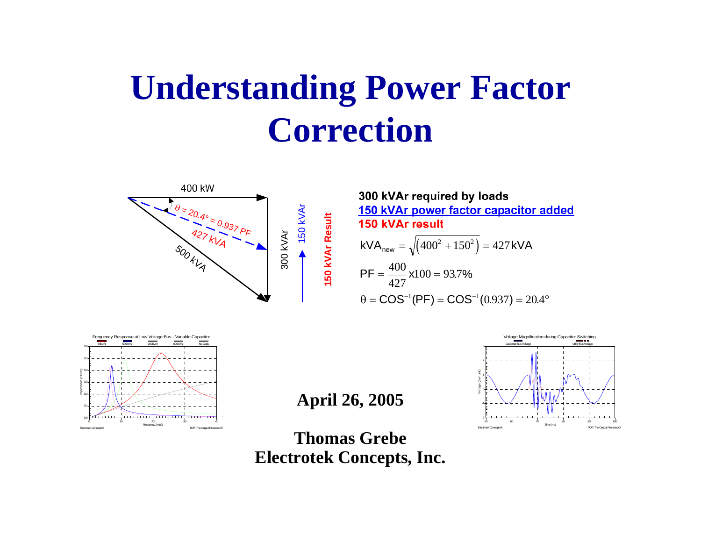# **Understanding Power Factor Correction**



300 kVAr required by loads 150 kVAr power factor capacitor added 150 kVAr result

$$
\frac{1}{2} \times \frac{1}{2} \times \frac{1}{2} \times \frac{1}{2} \times \frac{1}{2} \times \frac{1}{2} \times \frac{1}{2} \times \frac{1}{2} \times \frac{1}{2} \times \frac{1}{2} \times \frac{1}{2} \times \frac{1}{2} \times \frac{1}{2} \times \frac{1}{2} \times \frac{1}{2} \times \frac{1}{2} \times \frac{1}{2} \times \frac{1}{2} \times \frac{1}{2} \times \frac{1}{2} \times \frac{1}{2} \times \frac{1}{2} \times \frac{1}{2} \times \frac{1}{2} \times \frac{1}{2} \times \frac{1}{2} \times \frac{1}{2} \times \frac{1}{2} \times \frac{1}{2} \times \frac{1}{2} \times \frac{1}{2} \times \frac{1}{2} \times \frac{1}{2} \times \frac{1}{2} \times \frac{1}{2} \times \frac{1}{2} \times \frac{1}{2} \times \frac{1}{2} \times \frac{1}{2} \times \frac{1}{2} \times \frac{1}{2} \times \frac{1}{2} \times \frac{1}{2} \times \frac{1}{2} \times \frac{1}{2} \times \frac{1}{2} \times \frac{1}{2} \times \frac{1}{2} \times \frac{1}{2} \times \frac{1}{2} \times \frac{1}{2} \times \frac{1}{2} \times \frac{1}{2} \times \frac{1}{2} \times \frac{1}{2} \times \frac{1}{2} \times \frac{1}{2} \times \frac{1}{2} \times \frac{1}{2} \times \frac{1}{2} \times \frac{1}{2} \times \frac{1}{2} \times \frac{1}{2} \times \frac{1}{2} \times \frac{1}{2} \times \frac{1}{2} \times \frac{1}{2} \times \frac{1}{2} \times \frac{1}{2} \times \frac{1}{2} \times \frac{1}{2} \times \frac{1}{2} \times \frac{1}{2} \times \frac{1}{2} \times \frac{1}{2} \times \frac{1}{2} \times \frac{1}{2} \times \frac{1}{2} \times \frac{1}{2} \times \frac{1}{2} \times \frac{1}{2} \times \frac{1}{2} \times \frac{1}{2} \times \frac{1}{2} \times \frac{1
$$



**April 26, 2005**

**Thomas GrebeElectrotek Concepts, Inc.** -2

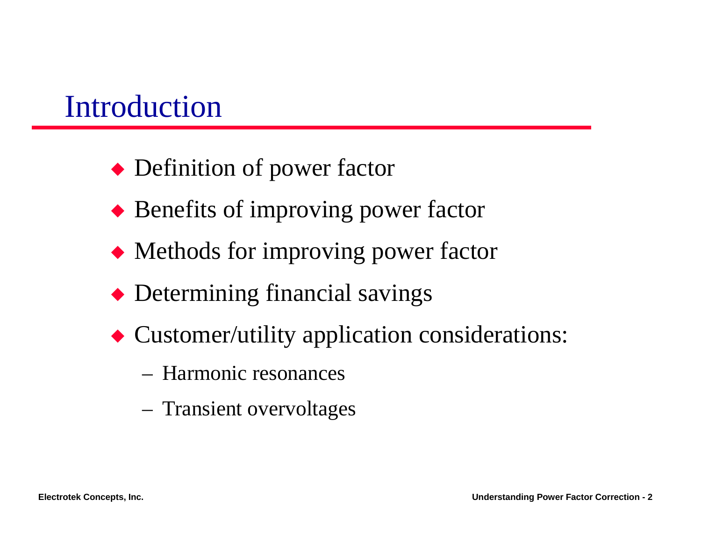#### Introduction

- $\blacklozenge$  Definition of power factor
- $\blacklozenge$  Benefits of improving power factor
- $\blacklozenge$  Methods for improving power factor
- $\blacklozenge$  Determining financial savings
- $\blacklozenge$  Customer/utility application considerations:
	- Harmonic resonances
	- Transient overvoltages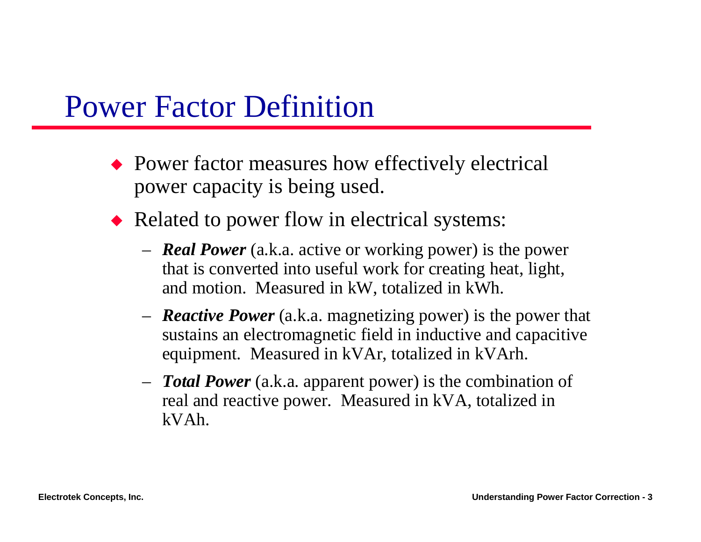#### Power Factor Definition

- $\rightarrow$  Power factor measures how effectively electrical power capacity is being used.
- $\blacklozenge$  Related to power flow in electrical systems:
	- – *Real Power* (a.k.a. active or working power) is the power that is converted into useful work for creating heat, light, and motion. Measured in kW, totalized in kWh.
	- – *Reactive Power* (a.k.a. magnetizing power) is the power that sustains an electromagnetic field in inductive and capacitive equipment. Measured in kVAr, totalized in kVArh.
	- – *Total Power* (a.k.a. apparent power) is the combination of real and reactive power. Measured in kVA, totalized in kVAh.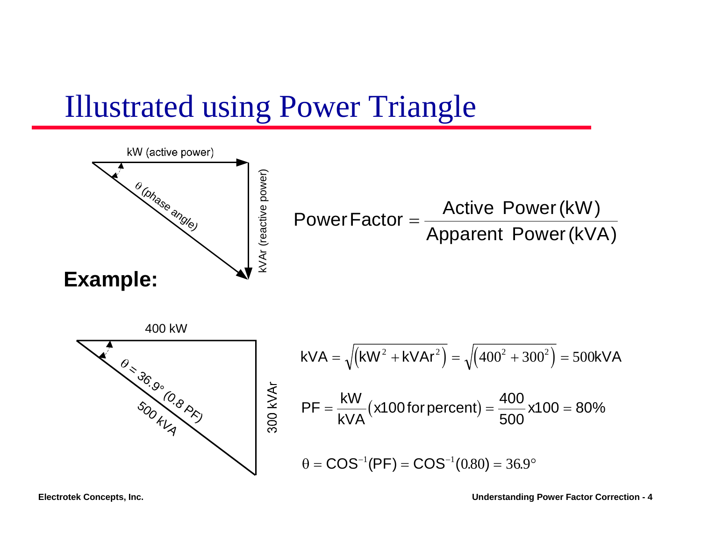#### Illustrated using Power Triangle

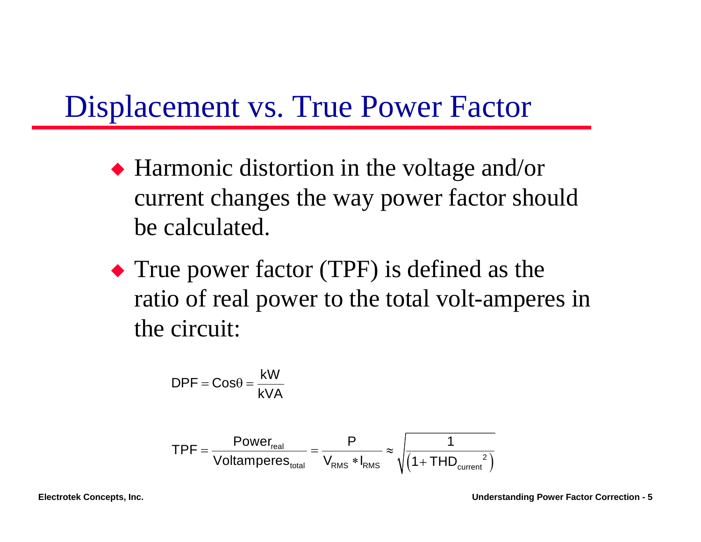#### Displacement vs. True Power Factor

- $\blacklozenge$  Harmonic distortion in the voltage and/or current changes the way power factor should be calculated.
- $\blacktriangleright$  True power factor (TPF) is defined as the ratio of real power to the total volt-amperes in the circuit:

$$
DPF = Cos\theta = \frac{kW}{kVA}
$$

$$
\text{TPF} = \frac{\text{Power}_{\text{real}}}{\text{Voltamperes}_{\text{total}}} = \frac{P}{V_{\text{RMS}} * I_{\text{RMS}}} \approx \sqrt{\frac{1}{\left(1 + \text{THD}_{\text{current}}^2\right)}}
$$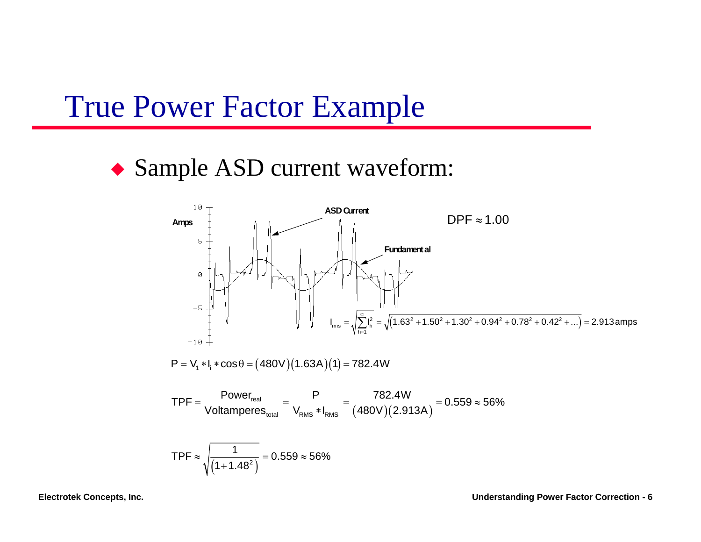#### True Power Factor Example

#### ◆ Sample ASD current waveform:

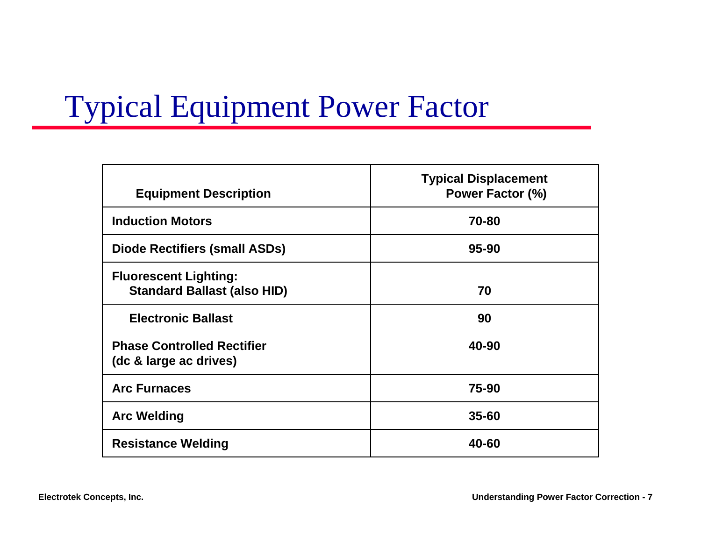### Typical Equipment Power Factor

| <b>Equipment Description</b>                                       | <b>Typical Displacement</b><br>Power Factor (%) |
|--------------------------------------------------------------------|-------------------------------------------------|
| <b>Induction Motors</b>                                            | 70-80                                           |
| Diode Rectifiers (small ASDs)                                      | 95-90                                           |
| <b>Fluorescent Lighting:</b><br><b>Standard Ballast (also HID)</b> | 70                                              |
| <b>Electronic Ballast</b>                                          | 90                                              |
| <b>Phase Controlled Rectifier</b><br>(dc & large ac drives)        | 40-90                                           |
| <b>Arc Furnaces</b>                                                | 75-90                                           |
| <b>Arc Welding</b>                                                 | $35 - 60$                                       |
| <b>Resistance Welding</b>                                          | 40-60                                           |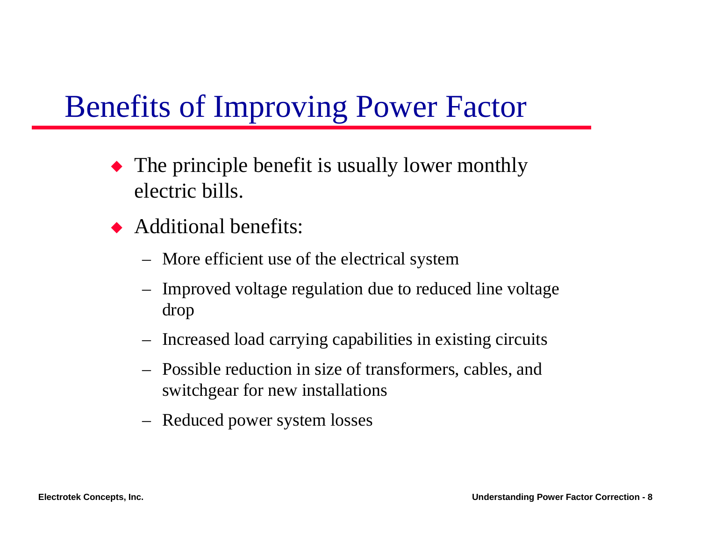### Benefits of Improving Power Factor

- $\blacklozenge$  The principle benefit is usually lower monthly electric bills.
- $\blacklozenge$  Additional benefits:
	- –More efficient use of the electrical system
	- – Improved voltage regulation due to reduced line voltage drop
	- –Increased load carrying capabilities in existing circuits
	- Possible reduction in size of transformers, cables, and switchgear for new installations
	- –Reduced power system losses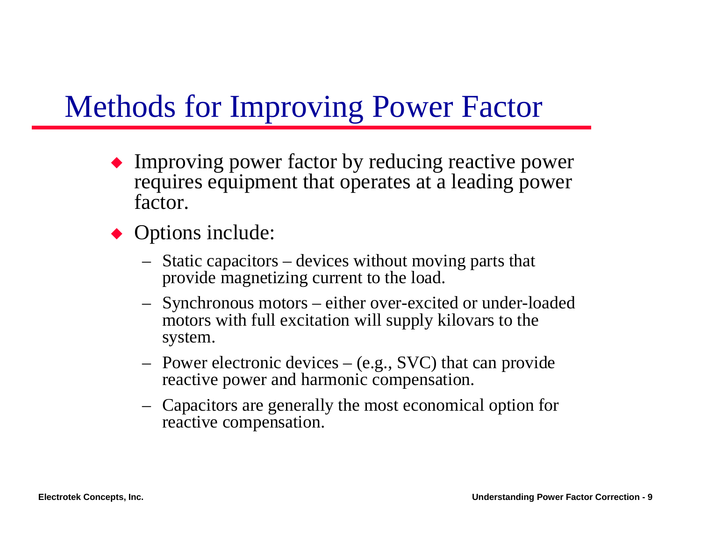### Methods for Improving Power Factor

- $\blacklozenge$  Improving power factor by reducing reactive power requires equipment that operates at a leading power factor.
- $\rightarrow$  Options include:
	- – Static capacitors – devices without moving parts that provide magnetizing current to the load.
	- – Synchronous motors – either over-excited or under-loaded motors with full excitation will supply kilovars to the system.
	- – Power electronic devices – (e.g., SVC) that can provide reactive power and harmonic compensation.
	- – Capacitors are generally the most economical option for reactive compensation.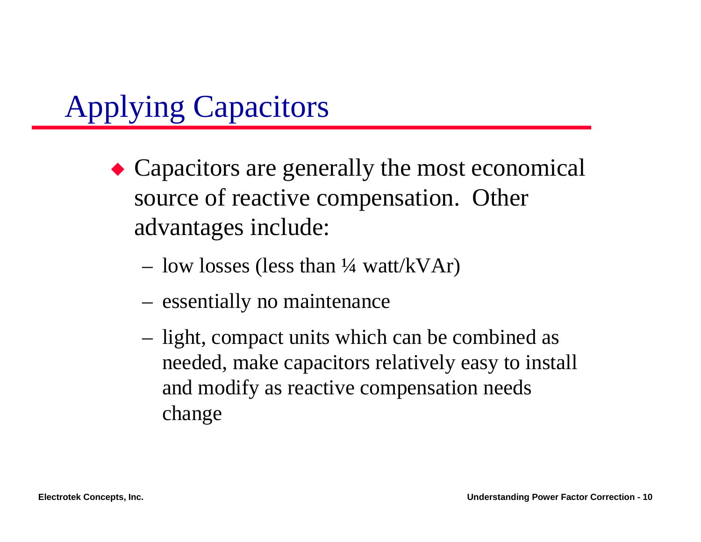## Applying Capacitors

- $\triangle$  Capacitors are generally the most economical source of reactive compensation. Other advantages include:
	- low losses (less than ¼ watt/kVAr)
	- essentially no maintenance
	- light, compact units which can be combined as needed, make capacitors relatively easy to install and modify as reactive compensation needs change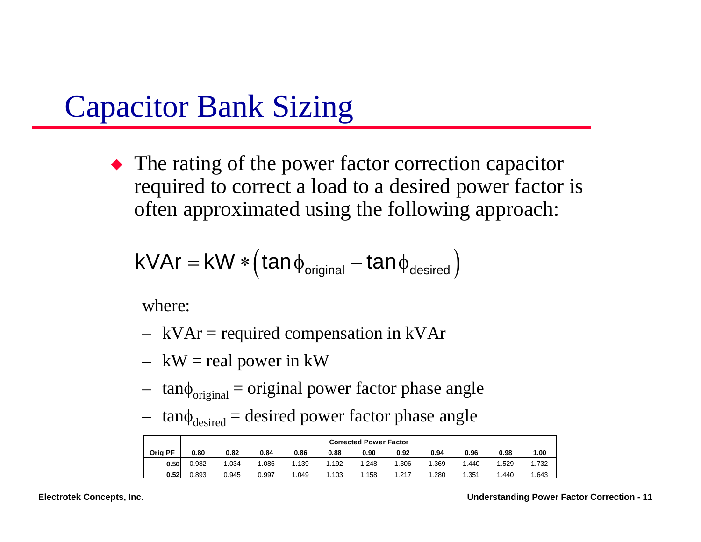#### Capacitor Bank Sizing

 $\blacklozenge$  The rating of the power factor correction capacitor required to correct a load to a desired power factor is often approximated using the following approach:

$$
kVAr = kW * (tan \phi_{original} - tan \phi_{desired})
$$

where:

- –kVAr = required compensation in kVAr
- –kW = real power in kW
- – $tan \phi_{original} =$  original power factor phase angle
- – $tan\phi$ <sub>desired</sub> = desired power factor phase angle

|         | <b>Corrected Power Factor</b> |       |       |       |       |       |       |       |      |      |       |
|---------|-------------------------------|-------|-------|-------|-------|-------|-------|-------|------|------|-------|
| Orig PF | 0.80                          | 0.82  | 0.84  | 0.86  | 0.88  | 0.90  | 0.92  | 0.94  | 0.96 | 0.98 | 1.00  |
| 0.50    | 0.982                         | 1.034 | .086  | 1.139 | 1.192 | .248  | 1.306 | 1.369 | .440 | .529 | 1.732 |
| 0.52    | 0.893                         | 0.945 | 0.997 | 1.049 | 1.103 | 1.158 | 1.217 | 1.280 | .351 | .440 | 1.643 |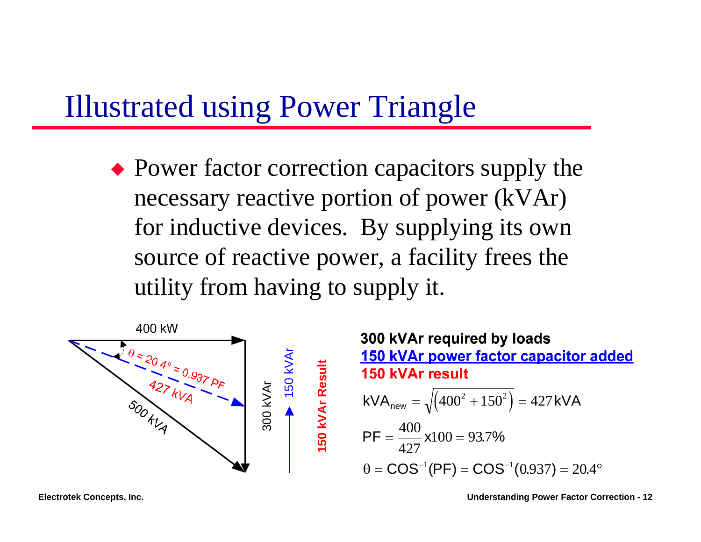#### Illustrated using Power Triangle

 $\rightarrow$  Power factor correction capacitors supply the necessary reactive portion of power (kVAr) for inductive devices. By supplying its own source of reactive power, a facility frees the utility from having to supply it.



300 kVAr required by loads 150 kVAr power factor capacitor added 150 kVAr result  $\frac{35}{8}$  kVA<sub>new</sub> =  $\sqrt{(400^2 + 150^2)}$  = 427kVA  $\left(400^2+150^2\right)$ 2  $150^2$  $_{\sf new}$  =  $\sqrt{(400^2+150^2)}$  = 427 400  $PF = \frac{100}{100}$  x100 =  $100 = 93.7\%$ 427 $\theta = \mathsf{COS}^{-1}(\mathsf{PF}) = \mathsf{COS}^{-1}(0.937) = 20.$  $=$   $\mathsf{COS}^{-1}(\mathsf{PF}) = \mathsf{COS}^{-1}(0.937) = 20.4^{\circ}$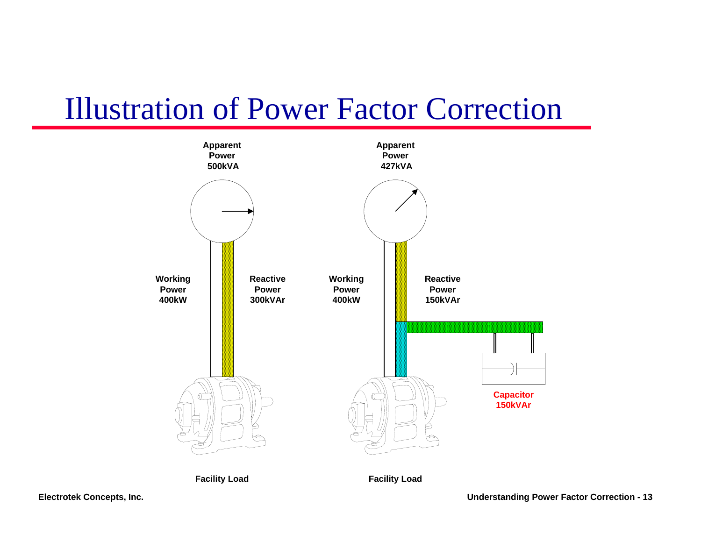#### Illustration of Power Factor Correction

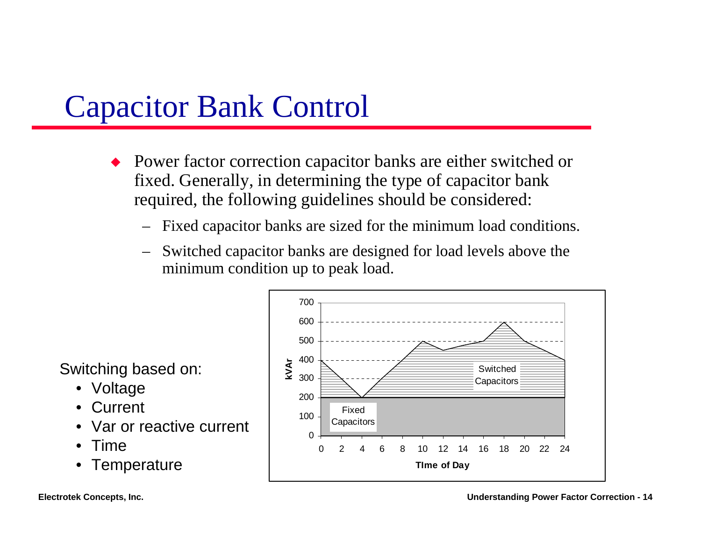#### Capacitor Bank Control

- Power factor correction capacitor banks are either switched or fixed. Generally, in determining the type of capacitor bank required, the following guidelines should be considered:
	- Fixed capacitor banks are sized for the minimum load conditions.
	- Switched capacitor banks are designed for load levels above the minimum condition up to peak load.

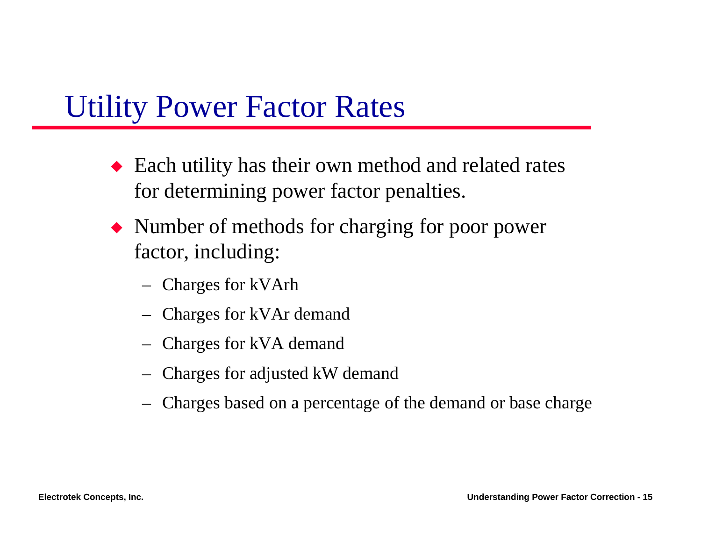#### Utility Power Factor Rates

- $\blacklozenge$  Each utility has their own method and related rates for determining power factor penalties.
- $\blacklozenge$  Number of methods for charging for poor power factor, including:
	- –Charges for kVArh
	- –Charges for kVAr demand
	- –Charges for kVA demand
	- –Charges for adjusted kW demand
	- –Charges based on a percentage of the demand or base charge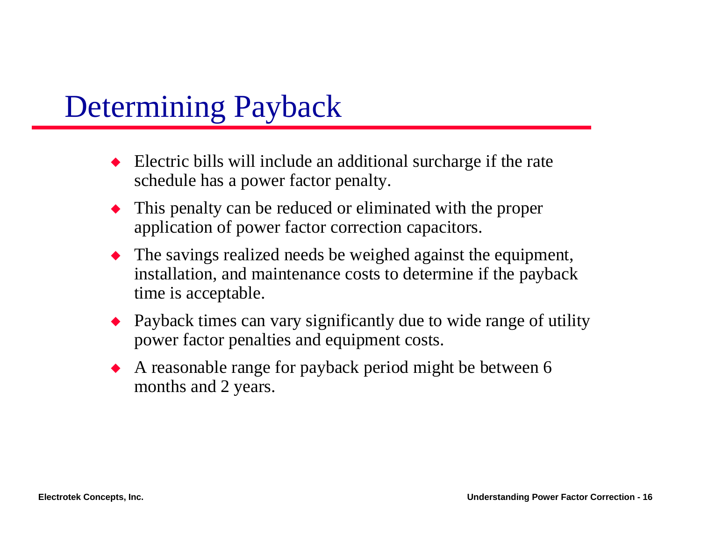### Determining Payback

- $\triangle$  Electric bills will include an additional surcharge if the rate schedule has a power factor penalty.
- $\blacklozenge$  This penalty can be reduced or eliminated with the proper application of power factor correction capacitors.
- $\blacklozenge$  The savings realized needs be weighed against the equipment, installation, and maintenance costs to determine if the payback time is acceptable.
- $\bullet$  Payback times can vary significantly due to wide range of utility power factor penalties and equipment costs.
- $\blacklozenge$  A reasonable range for payback period might be between 6 months and 2 years.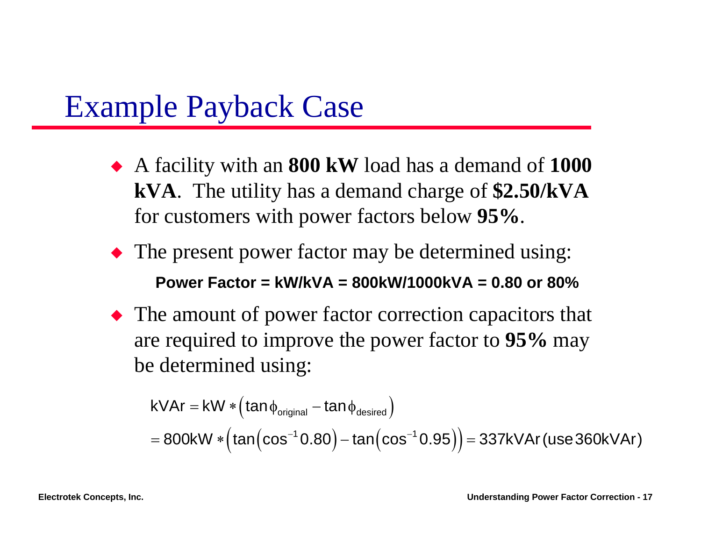#### Example Payback Case

- X A facility with an **800 kW** load has a demand of **1000 kVA**. The utility has a demand charge of **\$2.50/kVA** for customers with power factors below **95%**.
- $\blacklozenge$  The present power factor may be determined using: **Power Factor = kW/kVA = 800kW/1000kVA = 0.80 or 80%**
- $\blacklozenge$  The amount of power factor correction capacitors that are required to improve the power factor to **95%** may be determined using:

$$
k\text{Var} = \text{kW} * \left(\tan \phi_{\text{original}} - \tan \phi_{\text{desired}}\right)
$$
\n
$$
= 800 \text{kW} * \left(\tan \left(\cos^{-1} 0.80\right) - \tan \left(\cos^{-1} 0.95\right)\right) = 337 \text{kVAr} \left(\text{use 360kVar}\right)
$$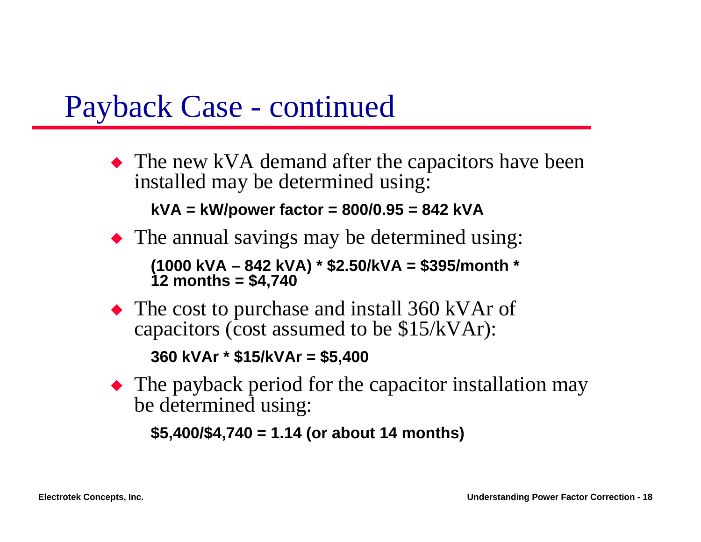#### Payback Case - continued

 $\blacklozenge$  The new kVA demand after the capacitors have been installed may be determined using:

**kVA = kW/power factor = 800/0.95 = 842 kVA**

 $\blacklozenge$  The annual savings may be determined using:

**(1000 kVA – 842 kVA) \* \$2.50/kVA = \$395/month \* 12 months = \$4,740**

 $\blacklozenge$  The cost to purchase and install 360 kVAr of capacitors (cost assumed to be \$15/kVAr):

**360 kVAr \* \$15/kVAr = \$5,400**

 $\blacktriangleright$  The payback period for the capacitor installation may be determined using:

**\$5,400/\$4,740 = 1.14 (or about 14 months)**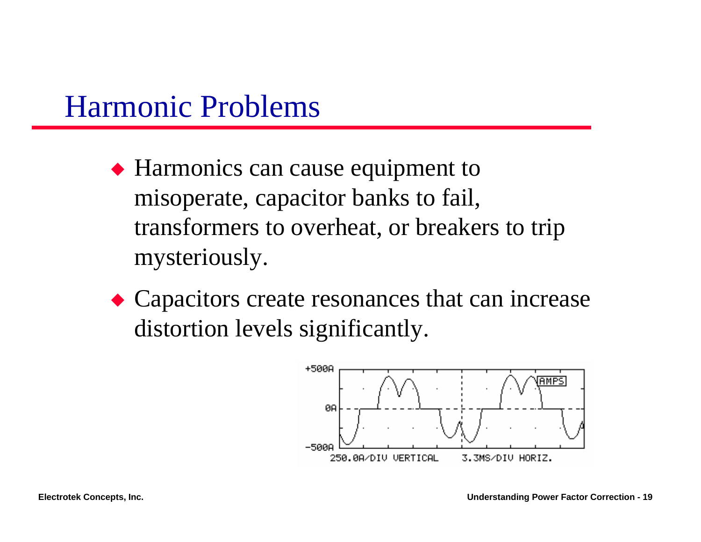#### Harmonic Problems

- $\blacklozenge$  Harmonics can cause equipment to misoperate, capacitor banks to fail, transformers to overheat, or breakers to trip mysteriously.
- $\triangle$  Capacitors create resonances that can increase distortion levels significantly.

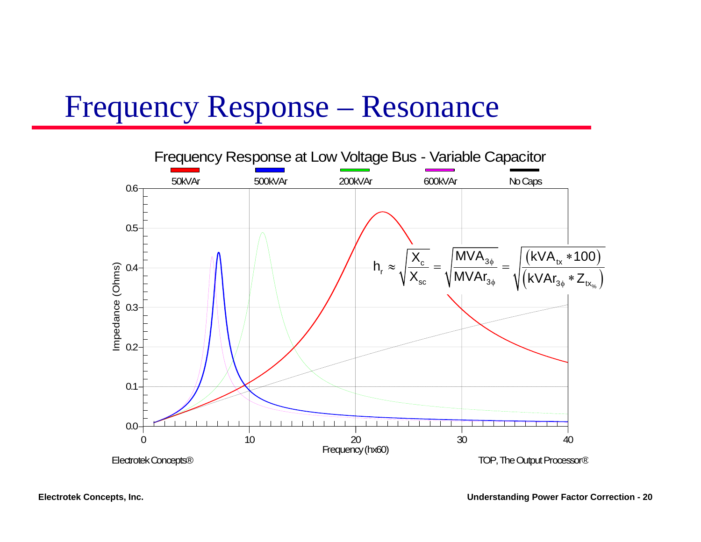#### Frequency Response – Resonance

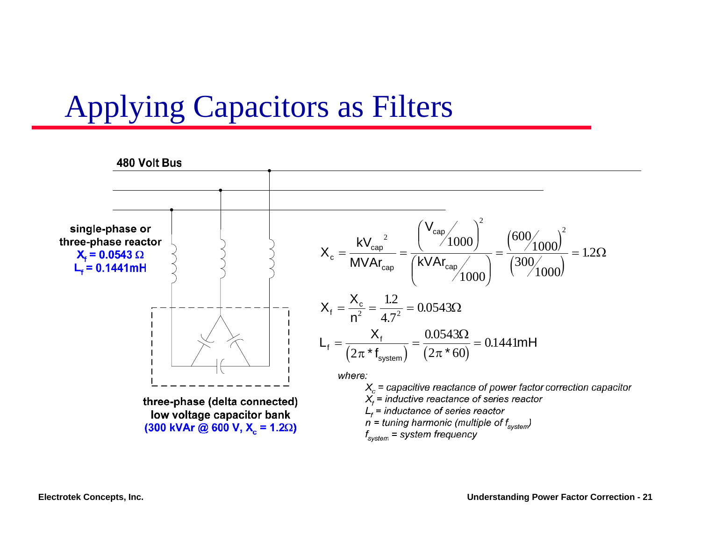### Applying Capacitors as Filters

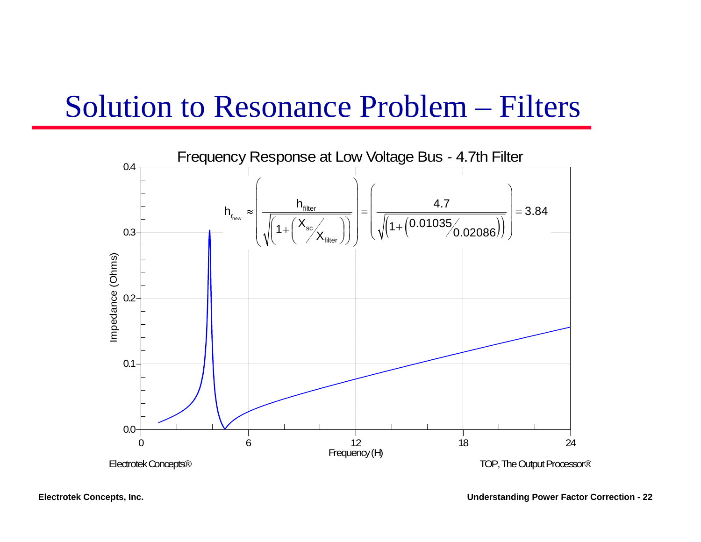#### Solution to Resonance Problem – Filters

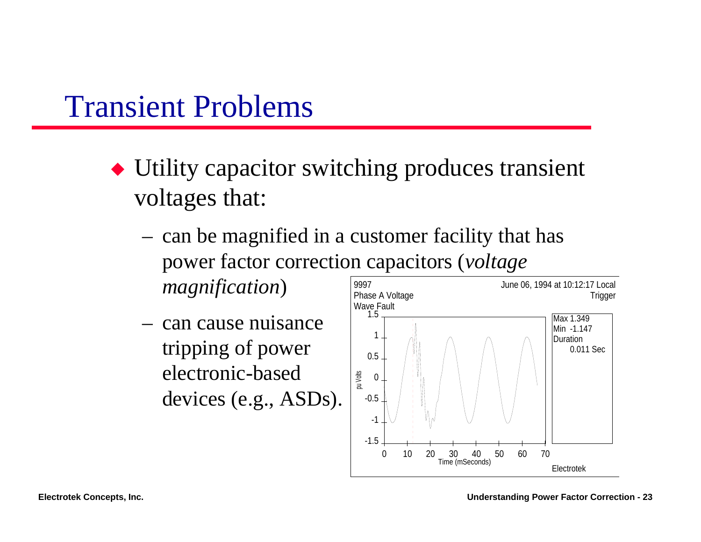#### Transient Problems

- $\blacklozenge$  Utility capacitor switching produces transient voltages that:
	- can be magnified in a customer facility that has power factor correction capacitors (*voltage magnification*) 9997
	- can cause nuisance tripping of power electronic-based devices (e.g., ASDs).

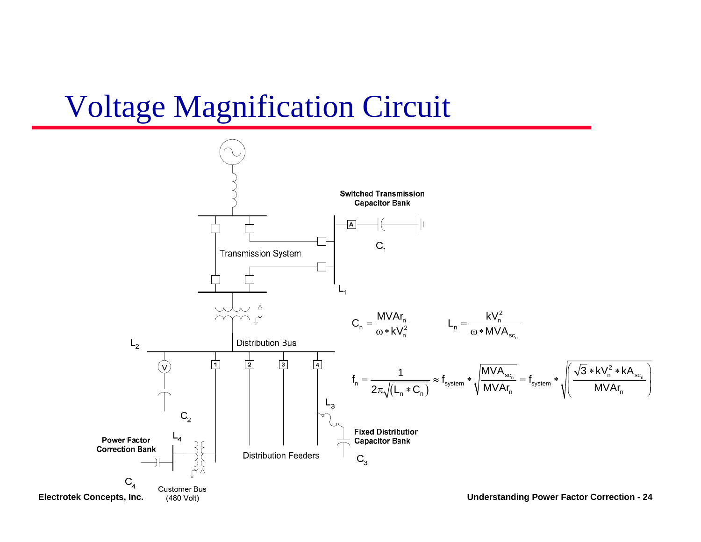#### Voltage Magnification Circuit

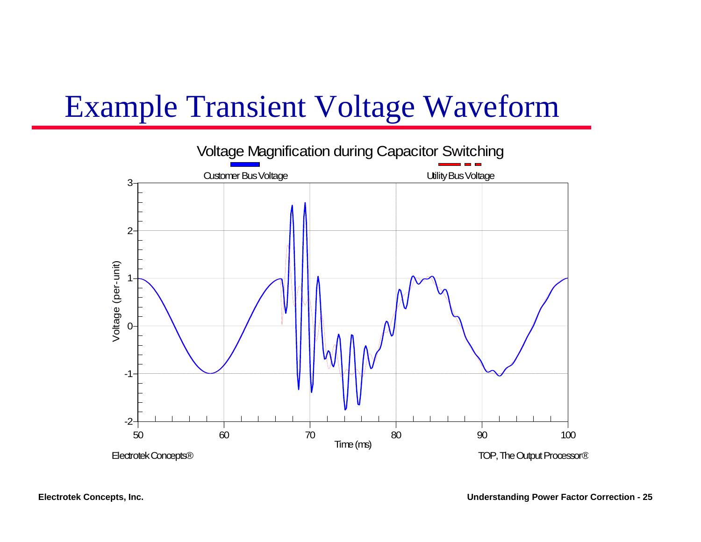### Example Transient Voltage Waveform

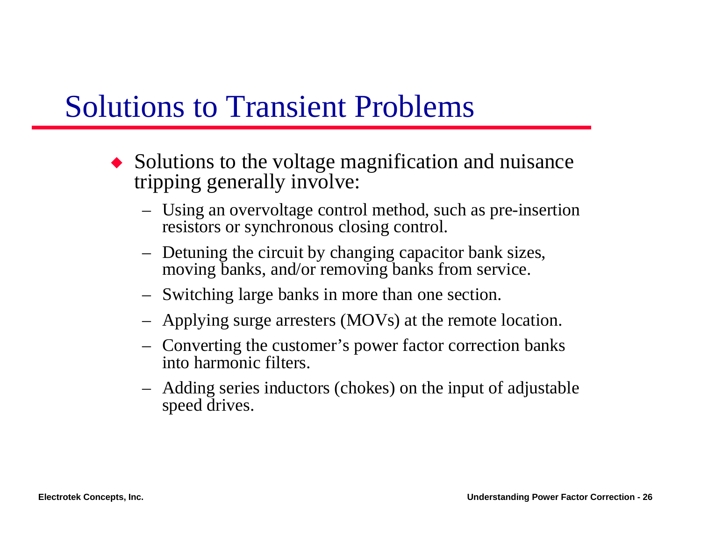#### Solutions to Transient Problems

- $\bullet$  Solutions to the voltage magnification and nuisance tripping generally involve:
	- – Using an overvoltage control method, such as pre-insertion resistors or synchronous closing control.
	- – Detuning the circuit by changing capacitor bank sizes, moving banks, and/or removing banks from service.
	- –Switching large banks in more than one section.
	- –Applying surge arresters (MOVs) at the remote location.
	- – Converting the customer's power factor correction banks into harmonic filters.
	- – Adding series inductors (chokes) on the input of adjustable speed drives.